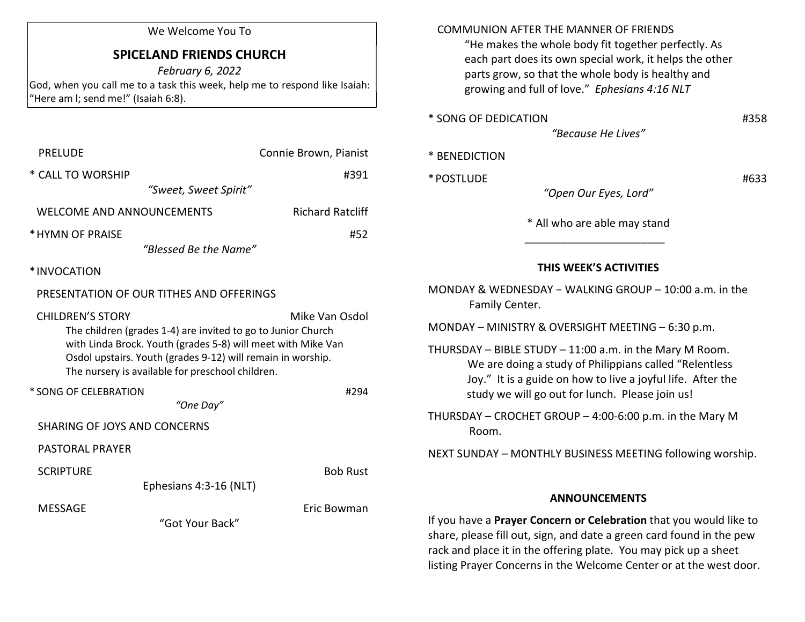#### We Welcome You To

# SPICELAND FRIENDS CHURCH

February 6, 2022 God, when you call me to a task this week, help me to respond like Isaiah: "Here am l; send me!" (Isaiah 6:8).

| <b>PRELUDE</b>                                                                                                                                                                                                                                                             | Connie Brown, Pianist   |
|----------------------------------------------------------------------------------------------------------------------------------------------------------------------------------------------------------------------------------------------------------------------------|-------------------------|
| * CALL TO WORSHIP<br>"Sweet, Sweet Spirit"                                                                                                                                                                                                                                 | #391                    |
| WELCOME AND ANNOUNCEMENTS                                                                                                                                                                                                                                                  | <b>Richard Ratcliff</b> |
| * HYMN OF PRAISE<br>"Blessed Be the Name"                                                                                                                                                                                                                                  | #52                     |
| *INVOCATION                                                                                                                                                                                                                                                                |                         |
| PRESENTATION OF OUR TITHES AND OFFERINGS                                                                                                                                                                                                                                   |                         |
| <b>CHILDREN'S STORY</b><br>The children (grades 1-4) are invited to go to Junior Church<br>with Linda Brock. Youth (grades 5-8) will meet with Mike Van<br>Osdol upstairs. Youth (grades 9-12) will remain in worship.<br>The nursery is available for preschool children. | Mike Van Osdol          |
| * SONG OF CELEBRATION<br>"One Day"                                                                                                                                                                                                                                         | #294                    |
| SHARING OF JOYS AND CONCERNS                                                                                                                                                                                                                                               |                         |
| PASTORAL PRAYER                                                                                                                                                                                                                                                            |                         |
| <b>SCRIPTURE</b><br>Ephesians 4:3-16 (NLT)                                                                                                                                                                                                                                 | <b>Bob Rust</b>         |
| MESSAGE<br>"Got Your Back"                                                                                                                                                                                                                                                 | Eric Bowman             |

## COMMUNION AFTER THE MANNER OF FRIENDS

 "He makes the whole body fit together perfectly. As each part does its own special work, it helps the other parts grow, so that the whole body is healthy and growing and full of love." Ephesians 4:16 NLT

| * SONG OF DEDICATION | #358 |
|----------------------|------|
|----------------------|------|

"Because He Lives"

|  | * BENEDICTION |  |  |  |  |
|--|---------------|--|--|--|--|
|--|---------------|--|--|--|--|

 $*$  POSTLUDE  $*$   $*$  POSTLUDE

"Open Our Eyes, Lord"

\* All who are able may stand

## THIS WEEK'S ACTIVITIES

MONDAY & WEDNESDAY − WALKING GROUP – 10:00 a.m. in the Family Center.

MONDAY – MINISTRY & OVERSIGHT MEETING – 6:30 p.m.

 $\frac{1}{2}$  ,  $\frac{1}{2}$  ,  $\frac{1}{2}$  ,  $\frac{1}{2}$  ,  $\frac{1}{2}$  ,  $\frac{1}{2}$  ,  $\frac{1}{2}$  ,  $\frac{1}{2}$  ,  $\frac{1}{2}$  ,  $\frac{1}{2}$  ,  $\frac{1}{2}$  ,  $\frac{1}{2}$  ,  $\frac{1}{2}$  ,  $\frac{1}{2}$  ,  $\frac{1}{2}$  ,  $\frac{1}{2}$  ,  $\frac{1}{2}$  ,  $\frac{1}{2}$  ,  $\frac{1$ 

- THURSDAY BIBLE STUDY 11:00 a.m. in the Mary M Room. We are doing a study of Philippians called "Relentless Joy." It is a guide on how to live a joyful life. After the study we will go out for lunch. Please join us!
- THURSDAY CROCHET GROUP 4:00-6:00 p.m. in the Mary M Room.

NEXT SUNDAY – MONTHLY BUSINESS MEETING following worship.

#### ANNOUNCEMENTS

If you have a Prayer Concern or Celebration that you would like to share, please fill out, sign, and date a green card found in the pew rack and place it in the offering plate. You may pick up a sheet listing Prayer Concerns in the Welcome Center or at the west door.